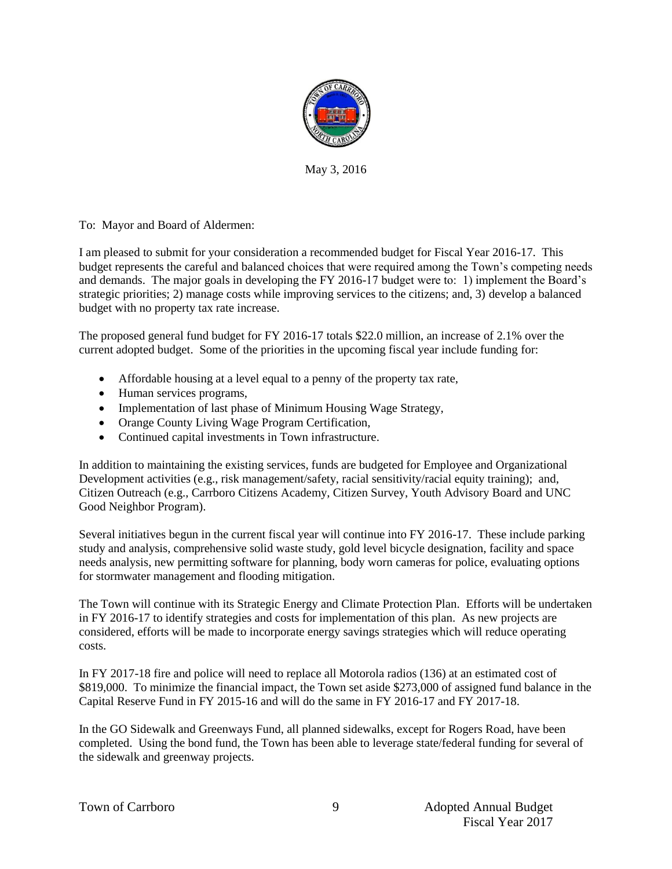

May 3, 2016

To: Mayor and Board of Aldermen:

I am pleased to submit for your consideration a recommended budget for Fiscal Year 2016-17. This budget represents the careful and balanced choices that were required among the Town's competing needs and demands. The major goals in developing the FY 2016-17 budget were to: 1) implement the Board's strategic priorities; 2) manage costs while improving services to the citizens; and, 3) develop a balanced budget with no property tax rate increase.

The proposed general fund budget for FY 2016-17 totals \$22.0 million, an increase of 2.1% over the current adopted budget. Some of the priorities in the upcoming fiscal year include funding for:

- Affordable housing at a level equal to a penny of the property tax rate,
- Human services programs,
- Implementation of last phase of Minimum Housing Wage Strategy,
- Orange County Living Wage Program Certification,
- Continued capital investments in Town infrastructure.

In addition to maintaining the existing services, funds are budgeted for Employee and Organizational Development activities (e.g., risk management/safety, racial sensitivity/racial equity training); and, Citizen Outreach (e.g., Carrboro Citizens Academy, Citizen Survey, Youth Advisory Board and UNC Good Neighbor Program).

Several initiatives begun in the current fiscal year will continue into FY 2016-17. These include parking study and analysis, comprehensive solid waste study, gold level bicycle designation, facility and space needs analysis, new permitting software for planning, body worn cameras for police, evaluating options for stormwater management and flooding mitigation.

The Town will continue with its Strategic Energy and Climate Protection Plan. Efforts will be undertaken in FY 2016-17 to identify strategies and costs for implementation of this plan. As new projects are considered, efforts will be made to incorporate energy savings strategies which will reduce operating costs.

In FY 2017-18 fire and police will need to replace all Motorola radios (136) at an estimated cost of \$819,000. To minimize the financial impact, the Town set aside \$273,000 of assigned fund balance in the Capital Reserve Fund in FY 2015-16 and will do the same in FY 2016-17 and FY 2017-18.

In the GO Sidewalk and Greenways Fund, all planned sidewalks, except for Rogers Road, have been completed. Using the bond fund, the Town has been able to leverage state/federal funding for several of the sidewalk and greenway projects.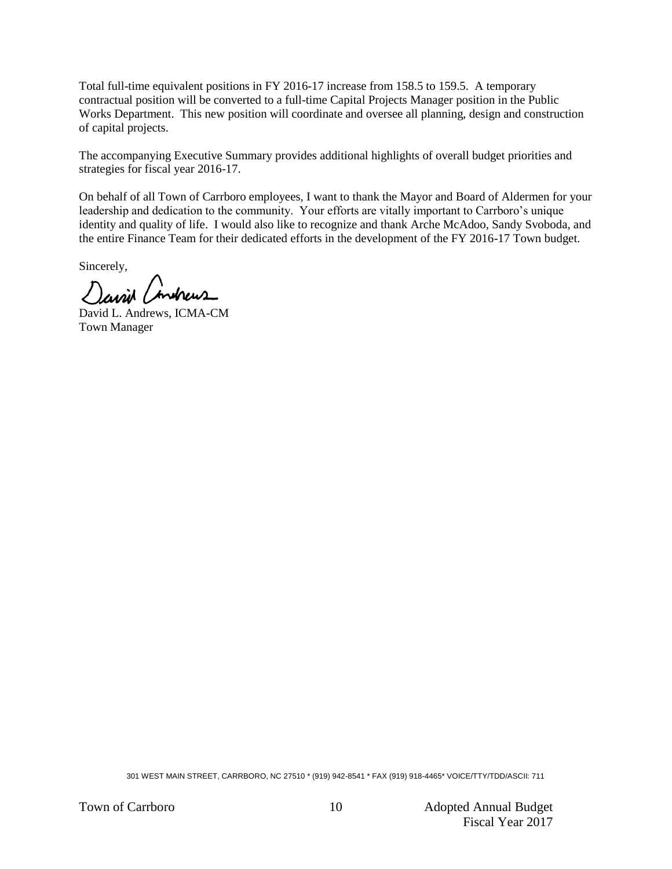Total full-time equivalent positions in FY 2016-17 increase from 158.5 to 159.5. A temporary contractual position will be converted to a full-time Capital Projects Manager position in the Public Works Department. This new position will coordinate and oversee all planning, design and construction of capital projects.

The accompanying Executive Summary provides additional highlights of overall budget priorities and strategies for fiscal year 2016-17.

On behalf of all Town of Carrboro employees, I want to thank the Mayor and Board of Aldermen for your leadership and dedication to the community. Your efforts are vitally important to Carrboro's unique identity and quality of life. I would also like to recognize and thank Arche McAdoo, Sandy Svoboda, and the entire Finance Team for their dedicated efforts in the development of the FY 2016-17 Town budget.

Sincerely,

Javin Condreus

David L. Andrews, ICMA-CM Town Manager

301 WEST MAIN STREET, CARRBORO, NC 27510 \* (919) 942-8541 \* FAX (919) 918-4465\* VOICE/TTY/TDD/ASCII: 711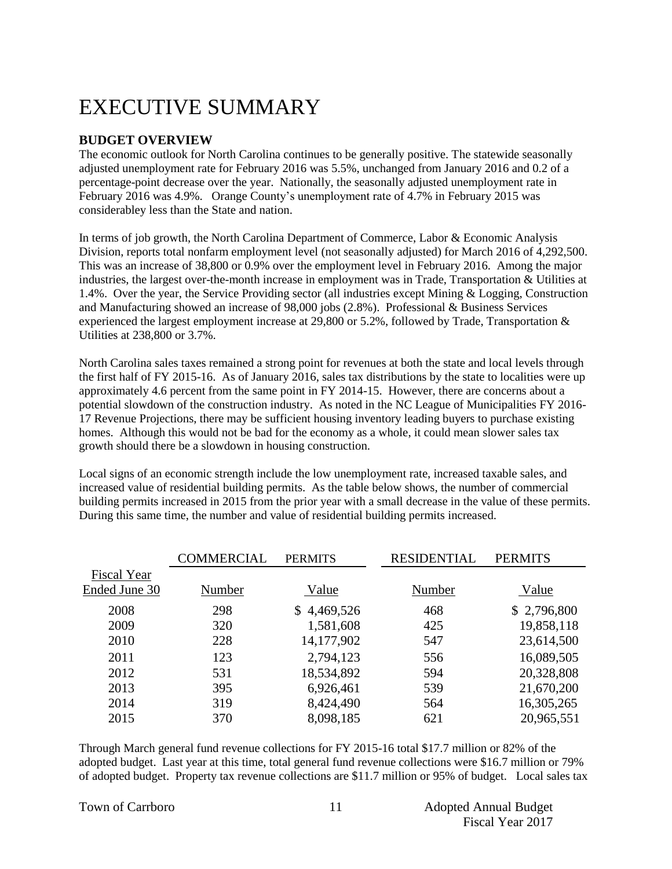# EXECUTIVE SUMMARY

#### **BUDGET OVERVIEW**

The economic outlook for North Carolina continues to be generally positive. The statewide seasonally adjusted unemployment rate for February 2016 was 5.5%, unchanged from January 2016 and 0.2 of a percentage-point decrease over the year. Nationally, the seasonally adjusted unemployment rate in February 2016 was 4.9%. Orange County's unemployment rate of 4.7% in February 2015 was considerabley less than the State and nation.

In terms of job growth, the North Carolina Department of Commerce, Labor & Economic Analysis Division, reports total nonfarm employment level (not seasonally adjusted) for March 2016 of 4,292,500. This was an increase of 38,800 or 0.9% over the employment level in February 2016. Among the major industries, the largest over-the-month increase in employment was in Trade, Transportation & Utilities at 1.4%. Over the year, the Service Providing sector (all industries except Mining & Logging, Construction and Manufacturing showed an increase of 98,000 jobs (2.8%). Professional & Business Services experienced the largest employment increase at 29,800 or 5.2%, followed by Trade, Transportation & Utilities at 238,800 or 3.7%.

North Carolina sales taxes remained a strong point for revenues at both the state and local levels through the first half of FY 2015-16. As of January 2016, sales tax distributions by the state to localities were up approximately 4.6 percent from the same point in FY 2014-15. However, there are concerns about a potential slowdown of the construction industry. As noted in the NC League of Municipalities FY 2016- 17 Revenue Projections, there may be sufficient housing inventory leading buyers to purchase existing homes. Although this would not be bad for the economy as a whole, it could mean slower sales tax growth should there be a slowdown in housing construction.

Local signs of an economic strength include the low unemployment rate, increased taxable sales, and increased value of residential building permits. As the table below shows, the number of commercial building permits increased in 2015 from the prior year with a small decrease in the value of these permits. During this same time, the number and value of residential building permits increased.

|                    | COMMERCIAL | <b>PERMITS</b> | <b>RESIDENTIAL</b> | <b>PERMITS</b> |
|--------------------|------------|----------------|--------------------|----------------|
| <b>Fiscal Year</b> |            |                |                    |                |
| Ended June 30      | Number     | Value          | Number             | Value          |
| 2008               | 298        | \$4,469,526    | 468                | \$2,796,800    |
| 2009               | 320        | 1,581,608      | 425                | 19,858,118     |
| 2010               | 228        | 14,177,902     | 547                | 23,614,500     |
| 2011               | 123        | 2,794,123      | 556                | 16,089,505     |
| 2012               | 531        | 18,534,892     | 594                | 20,328,808     |
| 2013               | 395        | 6,926,461      | 539                | 21,670,200     |
| 2014               | 319        | 8,424,490      | 564                | 16,305,265     |
| 2015               | 370        | 8,098,185      | 621                | 20,965,551     |

Through March general fund revenue collections for FY 2015-16 total \$17.7 million or 82% of the adopted budget. Last year at this time, total general fund revenue collections were \$16.7 million or 79% of adopted budget. Property tax revenue collections are \$11.7 million or 95% of budget. Local sales tax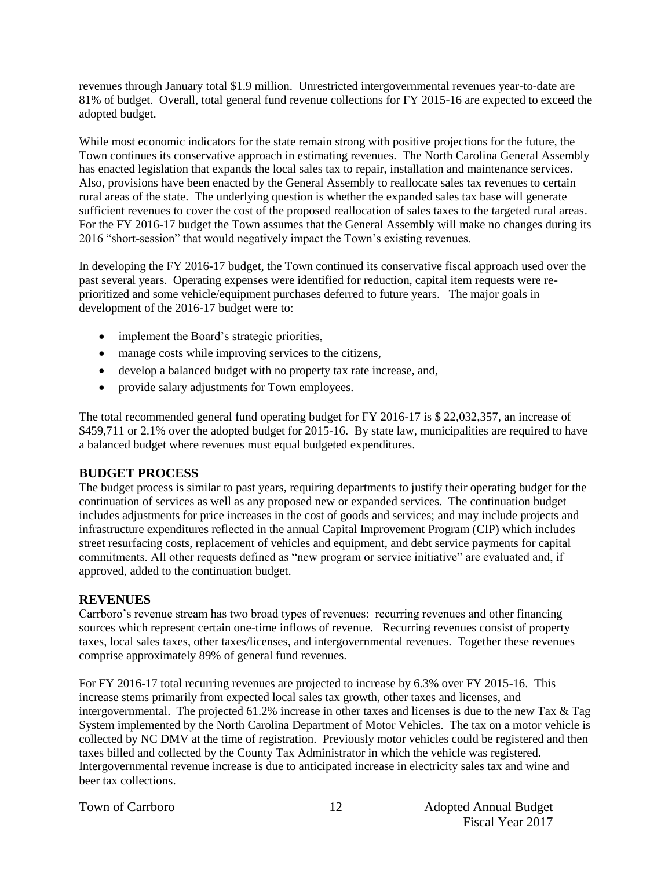revenues through January total \$1.9 million. Unrestricted intergovernmental revenues year-to-date are 81% of budget. Overall, total general fund revenue collections for FY 2015-16 are expected to exceed the adopted budget.

While most economic indicators for the state remain strong with positive projections for the future, the Town continues its conservative approach in estimating revenues. The North Carolina General Assembly has enacted legislation that expands the local sales tax to repair, installation and maintenance services. Also, provisions have been enacted by the General Assembly to reallocate sales tax revenues to certain rural areas of the state. The underlying question is whether the expanded sales tax base will generate sufficient revenues to cover the cost of the proposed reallocation of sales taxes to the targeted rural areas. For the FY 2016-17 budget the Town assumes that the General Assembly will make no changes during its 2016 "short-session" that would negatively impact the Town's existing revenues.

In developing the FY 2016-17 budget, the Town continued its conservative fiscal approach used over the past several years. Operating expenses were identified for reduction, capital item requests were reprioritized and some vehicle/equipment purchases deferred to future years. The major goals in development of the 2016-17 budget were to:

- implement the Board's strategic priorities,
- manage costs while improving services to the citizens,
- develop a balanced budget with no property tax rate increase, and,
- provide salary adjustments for Town employees.

The total recommended general fund operating budget for FY 2016-17 is \$ 22,032,357, an increase of \$459,711 or 2.1% over the adopted budget for 2015-16. By state law, municipalities are required to have a balanced budget where revenues must equal budgeted expenditures.

#### **BUDGET PROCESS**

The budget process is similar to past years, requiring departments to justify their operating budget for the continuation of services as well as any proposed new or expanded services. The continuation budget includes adjustments for price increases in the cost of goods and services; and may include projects and infrastructure expenditures reflected in the annual Capital Improvement Program (CIP) which includes street resurfacing costs, replacement of vehicles and equipment, and debt service payments for capital commitments. All other requests defined as "new program or service initiative" are evaluated and, if approved, added to the continuation budget.

#### **REVENUES**

Carrboro's revenue stream has two broad types of revenues: recurring revenues and other financing sources which represent certain one-time inflows of revenue. Recurring revenues consist of property taxes, local sales taxes, other taxes/licenses, and intergovernmental revenues. Together these revenues comprise approximately 89% of general fund revenues.

For FY 2016-17 total recurring revenues are projected to increase by 6.3% over FY 2015-16. This increase stems primarily from expected local sales tax growth, other taxes and licenses, and intergovernmental. The projected 61.2% increase in other taxes and licenses is due to the new Tax & Tag System implemented by the North Carolina Department of Motor Vehicles. The tax on a motor vehicle is collected by NC DMV at the time of registration. Previously motor vehicles could be registered and then taxes billed and collected by the County Tax Administrator in which the vehicle was registered. Intergovernmental revenue increase is due to anticipated increase in electricity sales tax and wine and beer tax collections.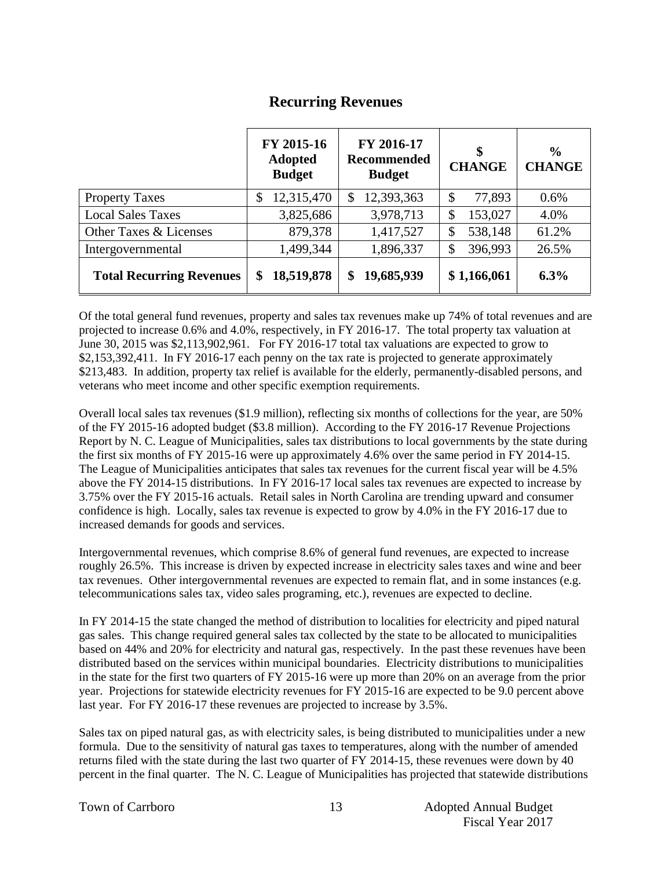## **Recurring Revenues**

|                                 | FY 2015-16<br><b>Adopted</b><br><b>Budget</b> | FY 2016-17<br>Recommended<br><b>Budget</b> | \$<br><b>CHANGE</b>                 | $\frac{6}{9}$<br><b>CHANGE</b> |
|---------------------------------|-----------------------------------------------|--------------------------------------------|-------------------------------------|--------------------------------|
| <b>Property Taxes</b>           | 12,315,470<br>\$                              | 12,393,363<br>\$                           | $\boldsymbol{\mathsf{S}}$<br>77,893 | $0.6\%$                        |
| <b>Local Sales Taxes</b>        | 3,825,686                                     | 3,978,713                                  | 153,027<br>\$                       | 4.0%                           |
| Other Taxes & Licenses          | 879,378                                       | 1,417,527                                  | 538,148<br>\$                       | 61.2%                          |
| Intergovernmental               | 1,499,344                                     | 1,896,337                                  | 396,993<br>\$                       | 26.5%                          |
| <b>Total Recurring Revenues</b> | 18,519,878<br>\$                              | 19,685,939<br>\$                           | \$1,166,061                         | 6.3%                           |

Of the total general fund revenues, property and sales tax revenues make up 74% of total revenues and are projected to increase 0.6% and 4.0%, respectively, in FY 2016-17. The total property tax valuation at June 30, 2015 was \$2,113,902,961. For FY 2016-17 total tax valuations are expected to grow to \$2,153,392,411. In FY 2016-17 each penny on the tax rate is projected to generate approximately \$213,483. In addition, property tax relief is available for the elderly, permanently-disabled persons, and veterans who meet income and other specific exemption requirements.

Overall local sales tax revenues (\$1.9 million), reflecting six months of collections for the year, are 50% of the FY 2015-16 adopted budget (\$3.8 million). According to the FY 2016-17 Revenue Projections Report by N. C. League of Municipalities, sales tax distributions to local governments by the state during the first six months of FY 2015-16 were up approximately 4.6% over the same period in FY 2014-15. The League of Municipalities anticipates that sales tax revenues for the current fiscal year will be 4.5% above the FY 2014-15 distributions. In FY 2016-17 local sales tax revenues are expected to increase by 3.75% over the FY 2015-16 actuals. Retail sales in North Carolina are trending upward and consumer confidence is high. Locally, sales tax revenue is expected to grow by 4.0% in the FY 2016-17 due to increased demands for goods and services.

Intergovernmental revenues, which comprise 8.6% of general fund revenues, are expected to increase roughly 26.5%. This increase is driven by expected increase in electricity sales taxes and wine and beer tax revenues. Other intergovernmental revenues are expected to remain flat, and in some instances (e.g. telecommunications sales tax, video sales programing, etc.), revenues are expected to decline.

In FY 2014-15 the state changed the method of distribution to localities for electricity and piped natural gas sales. This change required general sales tax collected by the state to be allocated to municipalities based on 44% and 20% for electricity and natural gas, respectively. In the past these revenues have been distributed based on the services within municipal boundaries. Electricity distributions to municipalities in the state for the first two quarters of FY 2015-16 were up more than 20% on an average from the prior year. Projections for statewide electricity revenues for FY 2015-16 are expected to be 9.0 percent above last year. For FY 2016-17 these revenues are projected to increase by 3.5%.

Sales tax on piped natural gas, as with electricity sales, is being distributed to municipalities under a new formula. Due to the sensitivity of natural gas taxes to temperatures, along with the number of amended returns filed with the state during the last two quarter of FY 2014-15, these revenues were down by 40 percent in the final quarter. The N. C. League of Municipalities has projected that statewide distributions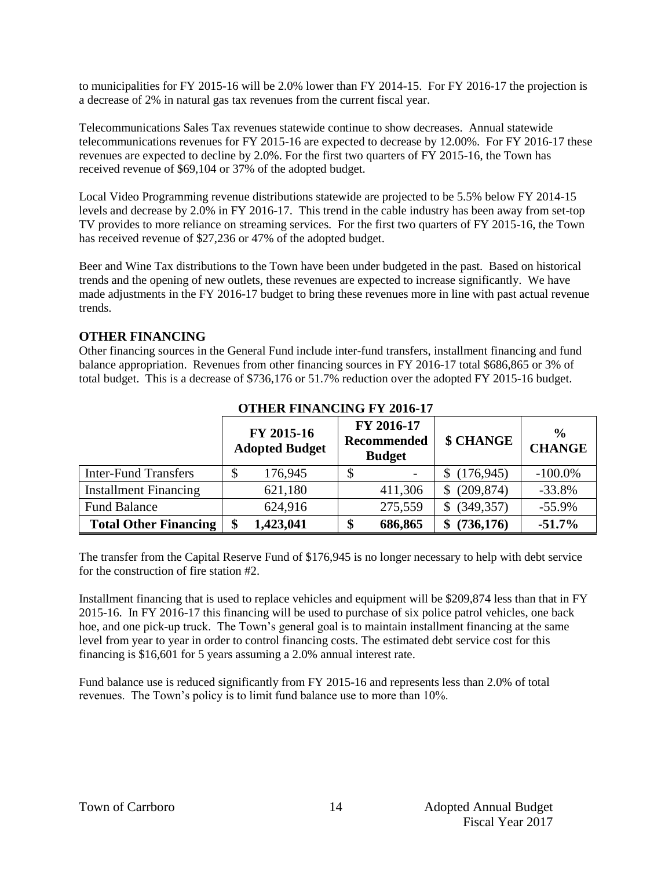to municipalities for FY 2015-16 will be 2.0% lower than FY 2014-15. For FY 2016-17 the projection is a decrease of 2% in natural gas tax revenues from the current fiscal year.

Telecommunications Sales Tax revenues statewide continue to show decreases. Annual statewide telecommunications revenues for FY 2015-16 are expected to decrease by 12.00%. For FY 2016-17 these revenues are expected to decline by 2.0%. For the first two quarters of FY 2015-16, the Town has received revenue of \$69,104 or 37% of the adopted budget.

Local Video Programming revenue distributions statewide are projected to be 5.5% below FY 2014-15 levels and decrease by 2.0% in FY 2016-17. This trend in the cable industry has been away from set-top TV provides to more reliance on streaming services. For the first two quarters of FY 2015-16, the Town has received revenue of \$27,236 or 47% of the adopted budget.

Beer and Wine Tax distributions to the Town have been under budgeted in the past. Based on historical trends and the opening of new outlets, these revenues are expected to increase significantly. We have made adjustments in the FY 2016-17 budget to bring these revenues more in line with past actual revenue trends.

#### **OTHER FINANCING**

Other financing sources in the General Fund include inter-fund transfers, installment financing and fund balance appropriation. Revenues from other financing sources in FY 2016-17 total \$686,865 or 3% of total budget. This is a decrease of \$736,176 or 51.7% reduction over the adopted FY 2015-16 budget.

|                              |    | FY 2015-16<br><b>Adopted Budget</b> | FY 2016-17<br>Recommended<br><b>Budget</b> |                          | \$ CHANGE       | $\frac{0}{0}$<br><b>CHANGE</b> |  |  |
|------------------------------|----|-------------------------------------|--------------------------------------------|--------------------------|-----------------|--------------------------------|--|--|
| <b>Inter-Fund Transfers</b>  | \$ | 176,945                             |                                            | $\overline{\phantom{a}}$ | (176, 945)      | $-100.0\%$                     |  |  |
| <b>Installment Financing</b> |    | 621,180                             |                                            | 411,306                  | (209, 874)<br>S | $-33.8%$                       |  |  |
| <b>Fund Balance</b>          |    | 624,916                             |                                            | 275,559                  | (349, 357)      | $-55.9%$                       |  |  |
| <b>Total Other Financing</b> |    | 1,423,041                           |                                            | 686,865                  | (736, 176)      | $-51.7%$                       |  |  |

### **OTHER FINANCING FY 2016-17**

The transfer from the Capital Reserve Fund of \$176,945 is no longer necessary to help with debt service for the construction of fire station #2.

Installment financing that is used to replace vehicles and equipment will be \$209,874 less than that in FY 2015-16. In FY 2016-17 this financing will be used to purchase of six police patrol vehicles, one back hoe, and one pick-up truck. The Town's general goal is to maintain installment financing at the same level from year to year in order to control financing costs. The estimated debt service cost for this financing is \$16,601 for 5 years assuming a 2.0% annual interest rate.

Fund balance use is reduced significantly from FY 2015-16 and represents less than 2.0% of total revenues. The Town's policy is to limit fund balance use to more than 10%.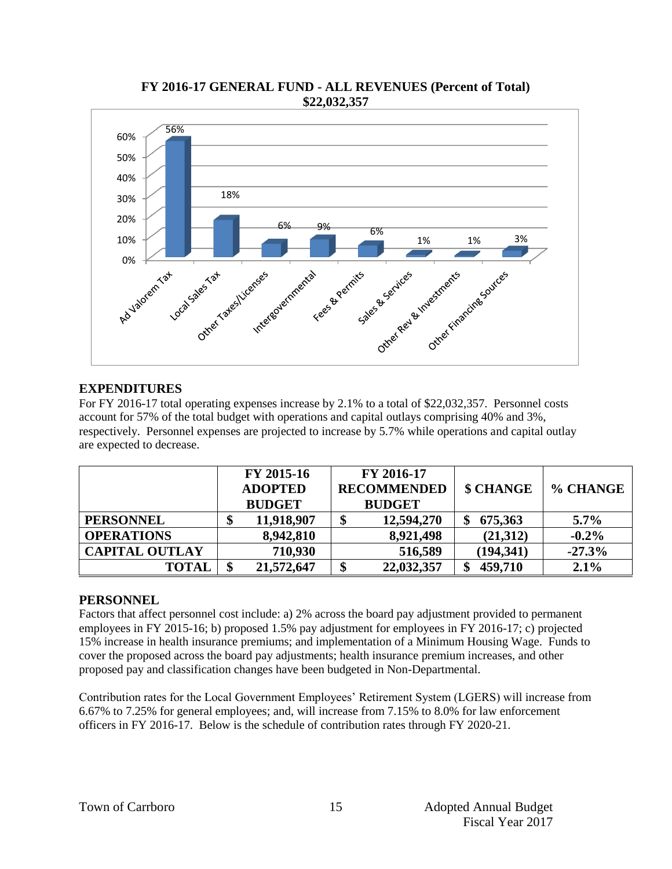

#### **FY 2016-17 GENERAL FUND - ALL REVENUES (Percent of Total) \$22,032,357**

### **EXPENDITURES**

For FY 2016-17 total operating expenses increase by 2.1% to a total of \$22,032,357. Personnel costs account for 57% of the total budget with operations and capital outlays comprising 40% and 3%, respectively. Personnel expenses are projected to increase by 5.7% while operations and capital outlay are expected to decrease.

|                       | FY 2015-16<br><b>ADOPTED</b><br><b>BUDGET</b> | FY 2016-17<br><b>RECOMMENDED</b><br><b>BUDGET</b> | \$ CHANGE    | % CHANGE |  |
|-----------------------|-----------------------------------------------|---------------------------------------------------|--------------|----------|--|
| <b>PERSONNEL</b>      | 11,918,907<br>\$                              | 12,594,270                                        | 675,363      | $5.7\%$  |  |
| <b>OPERATIONS</b>     | 8,942,810                                     | 8,921,498                                         | (21,312)     | $-0.2\%$ |  |
| <b>CAPITAL OUTLAY</b> | 710,930                                       | 516,589                                           | (194, 341)   | $-27.3%$ |  |
| <b>TOTAL</b>          | 21,572,647<br>S                               | 22,032,357<br>\$                                  | 459,710<br>ъ | 2.1%     |  |

#### **PERSONNEL**

Factors that affect personnel cost include: a) 2% across the board pay adjustment provided to permanent employees in FY 2015-16; b) proposed 1.5% pay adjustment for employees in FY 2016-17; c) projected 15% increase in health insurance premiums; and implementation of a Minimum Housing Wage. Funds to cover the proposed across the board pay adjustments; health insurance premium increases, and other proposed pay and classification changes have been budgeted in Non-Departmental.

Contribution rates for the Local Government Employees' Retirement System (LGERS) will increase from 6.67% to 7.25% for general employees; and, will increase from 7.15% to 8.0% for law enforcement officers in FY 2016-17. Below is the schedule of contribution rates through FY 2020-21.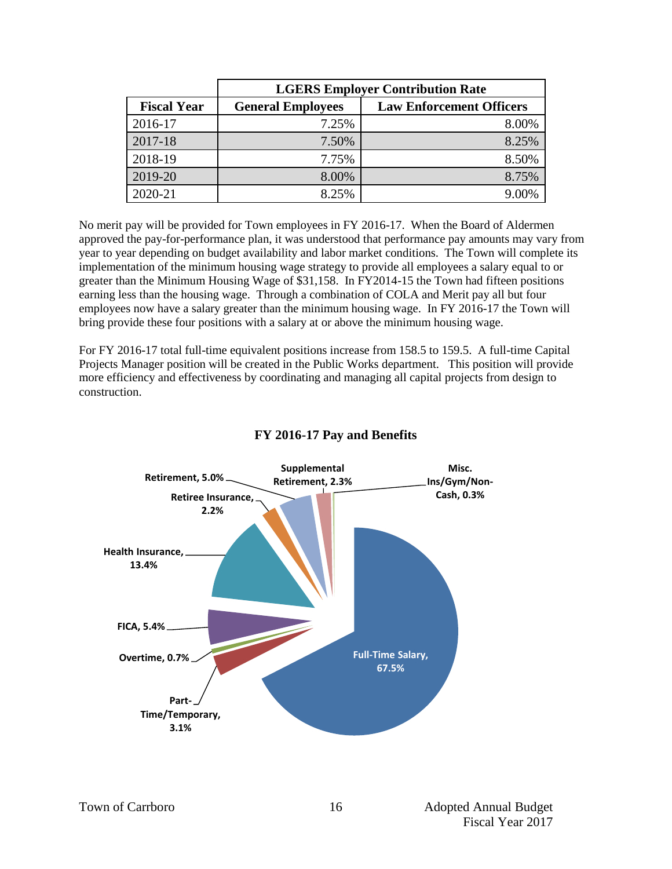|                    | <b>LGERS Employer Contribution Rate</b>                     |       |  |  |  |  |  |  |
|--------------------|-------------------------------------------------------------|-------|--|--|--|--|--|--|
| <b>Fiscal Year</b> | <b>Law Enforcement Officers</b><br><b>General Employees</b> |       |  |  |  |  |  |  |
| 2016-17            | 7.25%                                                       | 8.00% |  |  |  |  |  |  |
| 2017-18            | 7.50%                                                       | 8.25% |  |  |  |  |  |  |
| 2018-19            | 7.75%                                                       | 8.50% |  |  |  |  |  |  |
| 2019-20            | 8.00%                                                       | 8.75% |  |  |  |  |  |  |
| 2020-21            | 8.25%                                                       | 9.00% |  |  |  |  |  |  |

No merit pay will be provided for Town employees in FY 2016-17. When the Board of Aldermen approved the pay-for-performance plan, it was understood that performance pay amounts may vary from year to year depending on budget availability and labor market conditions. The Town will complete its implementation of the minimum housing wage strategy to provide all employees a salary equal to or greater than the Minimum Housing Wage of \$31,158. In FY2014-15 the Town had fifteen positions earning less than the housing wage. Through a combination of COLA and Merit pay all but four employees now have a salary greater than the minimum housing wage. In FY 2016-17 the Town will bring provide these four positions with a salary at or above the minimum housing wage.

For FY 2016-17 total full-time equivalent positions increase from 158.5 to 159.5. A full-time Capital Projects Manager position will be created in the Public Works department. This position will provide more efficiency and effectiveness by coordinating and managing all capital projects from design to construction.



#### **FY 2016-17 Pay and Benefits**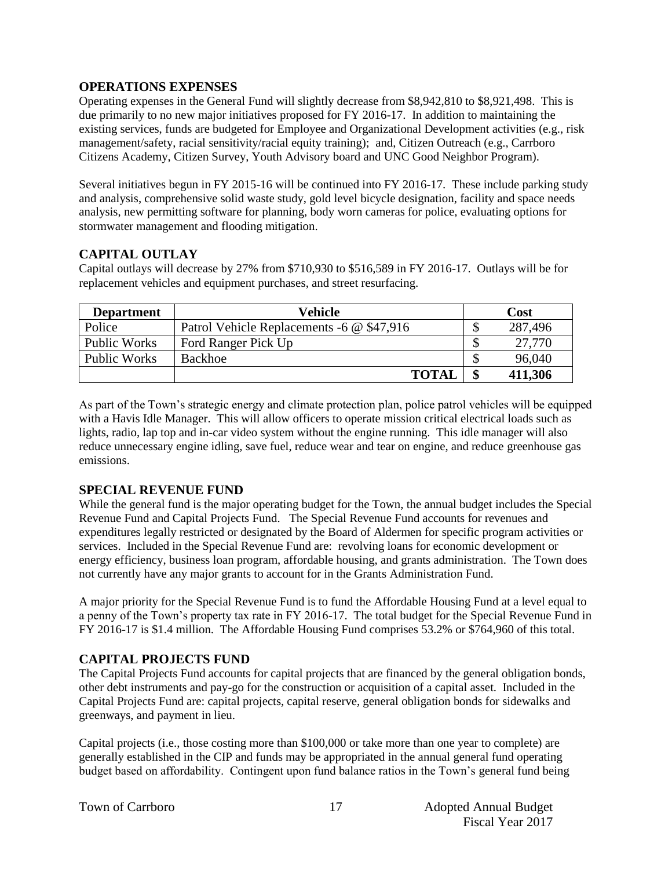#### **OPERATIONS EXPENSES**

Operating expenses in the General Fund will slightly decrease from \$8,942,810 to \$8,921,498. This is due primarily to no new major initiatives proposed for FY 2016-17. In addition to maintaining the existing services, funds are budgeted for Employee and Organizational Development activities (e.g., risk management/safety, racial sensitivity/racial equity training); and, Citizen Outreach (e.g., Carrboro Citizens Academy, Citizen Survey, Youth Advisory board and UNC Good Neighbor Program).

Several initiatives begun in FY 2015-16 will be continued into FY 2016-17. These include parking study and analysis, comprehensive solid waste study, gold level bicycle designation, facility and space needs analysis, new permitting software for planning, body worn cameras for police, evaluating options for stormwater management and flooding mitigation.

#### **CAPITAL OUTLAY**

Capital outlays will decrease by 27% from \$710,930 to \$516,589 in FY 2016-17. Outlays will be for replacement vehicles and equipment purchases, and street resurfacing.

| <b>Department</b>   | Vehicle                                   |        | Cost    |
|---------------------|-------------------------------------------|--------|---------|
| Police              | Patrol Vehicle Replacements -6 @ \$47,916 | ጦ<br>Φ | 287,496 |
| Public Works        | Ford Ranger Pick Up                       | ۰D     | 27,770  |
| <b>Public Works</b> | Backhoe                                   | ъD     | 96,040  |
|                     | <b>TOTAL</b>                              | \$     | 411,306 |

As part of the Town's strategic energy and climate protection plan, police patrol vehicles will be equipped with a Havis Idle Manager. This will allow officers to operate mission critical electrical loads such as lights, radio, lap top and in-car video system without the engine running. This idle manager will also reduce unnecessary engine idling, save fuel, reduce wear and tear on engine, and reduce greenhouse gas emissions.

#### **SPECIAL REVENUE FUND**

While the general fund is the major operating budget for the Town, the annual budget includes the Special Revenue Fund and Capital Projects Fund. The Special Revenue Fund accounts for revenues and expenditures legally restricted or designated by the Board of Aldermen for specific program activities or services. Included in the Special Revenue Fund are: revolving loans for economic development or energy efficiency, business loan program, affordable housing, and grants administration. The Town does not currently have any major grants to account for in the Grants Administration Fund.

A major priority for the Special Revenue Fund is to fund the Affordable Housing Fund at a level equal to a penny of the Town's property tax rate in FY 2016-17. The total budget for the Special Revenue Fund in FY 2016-17 is \$1.4 million. The Affordable Housing Fund comprises 53.2% or \$764,960 of this total.

#### **CAPITAL PROJECTS FUND**

The Capital Projects Fund accounts for capital projects that are financed by the general obligation bonds, other debt instruments and pay-go for the construction or acquisition of a capital asset. Included in the Capital Projects Fund are: capital projects, capital reserve, general obligation bonds for sidewalks and greenways, and payment in lieu.

Capital projects (i.e., those costing more than \$100,000 or take more than one year to complete) are generally established in the CIP and funds may be appropriated in the annual general fund operating budget based on affordability. Contingent upon fund balance ratios in the Town's general fund being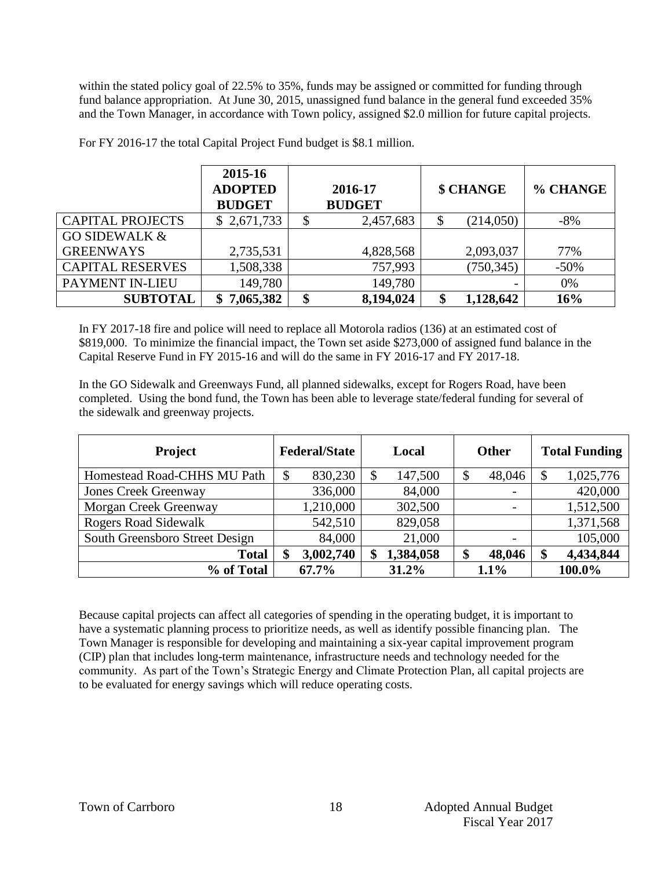within the stated policy goal of 22.5% to 35%, funds may be assigned or committed for funding through fund balance appropriation. At June 30, 2015, unassigned fund balance in the general fund exceeded 35% and the Town Manager, in accordance with Town policy, assigned \$2.0 million for future capital projects.

|                          | 2015-16<br><b>ADOPTED</b><br><b>BUDGET</b> | 2016-17<br><b>BUDGET</b> | \$ CHANGE       | % CHANGE |
|--------------------------|--------------------------------------------|--------------------------|-----------------|----------|
| <b>CAPITAL PROJECTS</b>  | \$2,671,733                                | 2,457,683                | (214,050)       | $-8\%$   |
| <b>GO SIDEWALK &amp;</b> |                                            |                          |                 |          |
| <b>GREENWAYS</b>         | 2,735,531                                  | 4,828,568                | 2,093,037       | 77%      |
| <b>CAPITAL RESERVES</b>  | 1,508,338                                  | 757,993                  | (750, 345)      | $-50\%$  |
| PAYMENT IN-LIEU          | 149,780                                    | 149,780                  |                 | 0%       |
| <b>SUBTOTAL</b>          | 7,065,382<br>S.                            | \$<br>8,194,024          | \$<br>1,128,642 | 16%      |

For FY 2016-17 the total Capital Project Fund budget is \$8.1 million.

In FY 2017-18 fire and police will need to replace all Motorola radios (136) at an estimated cost of \$819,000. To minimize the financial impact, the Town set aside \$273,000 of assigned fund balance in the Capital Reserve Fund in FY 2015-16 and will do the same in FY 2016-17 and FY 2017-18.

In the GO Sidewalk and Greenways Fund, all planned sidewalks, except for Rogers Road, have been completed. Using the bond fund, the Town has been able to leverage state/federal funding for several of the sidewalk and greenway projects.

| <b>Project</b>                 | <b>Federal/State</b> | Local           | <b>Other</b>             | <b>Total Funding</b> |  |
|--------------------------------|----------------------|-----------------|--------------------------|----------------------|--|
| Homestead Road-CHHS MU Path    | \$<br>830,230        | 147,500<br>\$   | 48,046                   | 1,025,776            |  |
| <b>Jones Creek Greenway</b>    | 336,000              | 84,000          | $\overline{\phantom{0}}$ | 420,000              |  |
| Morgan Creek Greenway          | 1,210,000            | 302,500         |                          | 1,512,500            |  |
| <b>Rogers Road Sidewalk</b>    | 542,510              | 829,058         |                          | 1,371,568            |  |
| South Greensboro Street Design | 84,000               | 21,000          | $\overline{\phantom{0}}$ | 105,000              |  |
| <b>Total</b>                   | 3,002,740<br>\$      | 1,384,058<br>\$ | 48,046<br>Φ              | 4,434,844<br>ጡ       |  |
| % of Total                     | 67.7%                | 31.2%           | $1.1\%$                  | 100.0%               |  |

Because capital projects can affect all categories of spending in the operating budget, it is important to have a systematic planning process to prioritize needs, as well as identify possible financing plan. The Town Manager is responsible for developing and maintaining a six-year capital improvement program (CIP) plan that includes long-term maintenance, infrastructure needs and technology needed for the community. As part of the Town's Strategic Energy and Climate Protection Plan, all capital projects are to be evaluated for energy savings which will reduce operating costs.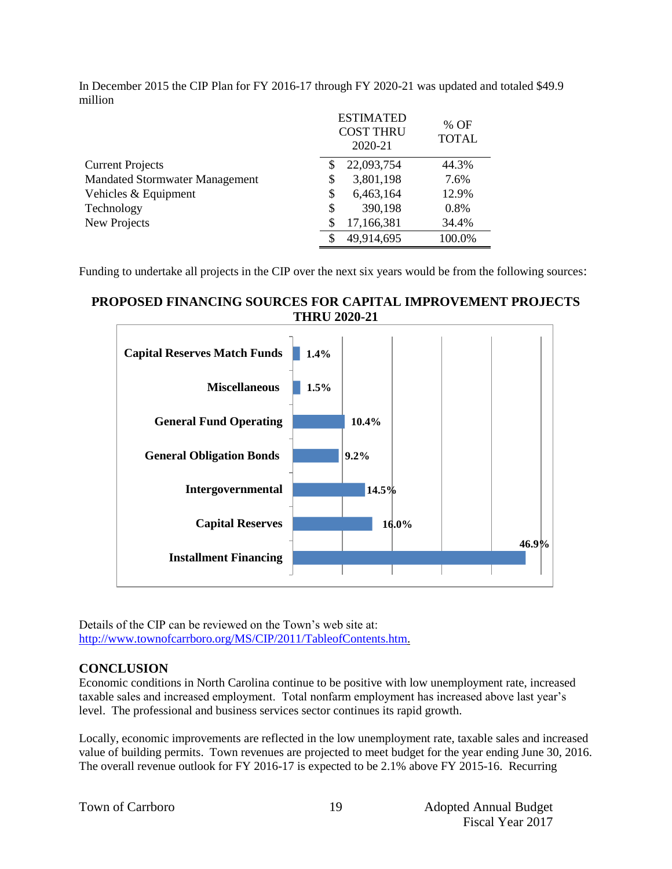|                                       |    | <b>ESTIMATED</b><br><b>COST THRU</b><br>2020-21 | % OF<br><b>TOTAL</b> |
|---------------------------------------|----|-------------------------------------------------|----------------------|
| <b>Current Projects</b>               | S  | 22,093,754                                      | 44.3%                |
| <b>Mandated Stormwater Management</b> | \$ | 3,801,198                                       | 7.6%                 |
| Vehicles & Equipment                  | \$ | 6,463,164                                       | 12.9%                |
| Technology                            | \$ | 390,198                                         | 0.8%                 |
| New Projects                          |    | 17,166,381                                      | 34.4%                |
|                                       |    | 49,914,695                                      | 100.0%               |

In December 2015 the CIP Plan for FY 2016-17 through FY 2020-21 was updated and totaled \$49.9 million

Funding to undertake all projects in the CIP over the next six years would be from the following sources:

#### **PROPOSED FINANCING SOURCES FOR CAPITAL IMPROVEMENT PROJECTS THRU 2020-21**



Details of the CIP can be reviewed on the Town's web site at: [http://www.townofcarrboro.org/MS/CIP/2011/TableofContents.htm.](http://www.townofcarrboro.org/MS/CIP/2011/TableofContents.htm)

#### **CONCLUSION**

Economic conditions in North Carolina continue to be positive with low unemployment rate, increased taxable sales and increased employment. Total nonfarm employment has increased above last year's level. The professional and business services sector continues its rapid growth.

Locally, economic improvements are reflected in the low unemployment rate, taxable sales and increased value of building permits. Town revenues are projected to meet budget for the year ending June 30, 2016. The overall revenue outlook for FY 2016-17 is expected to be 2.1% above FY 2015-16. Recurring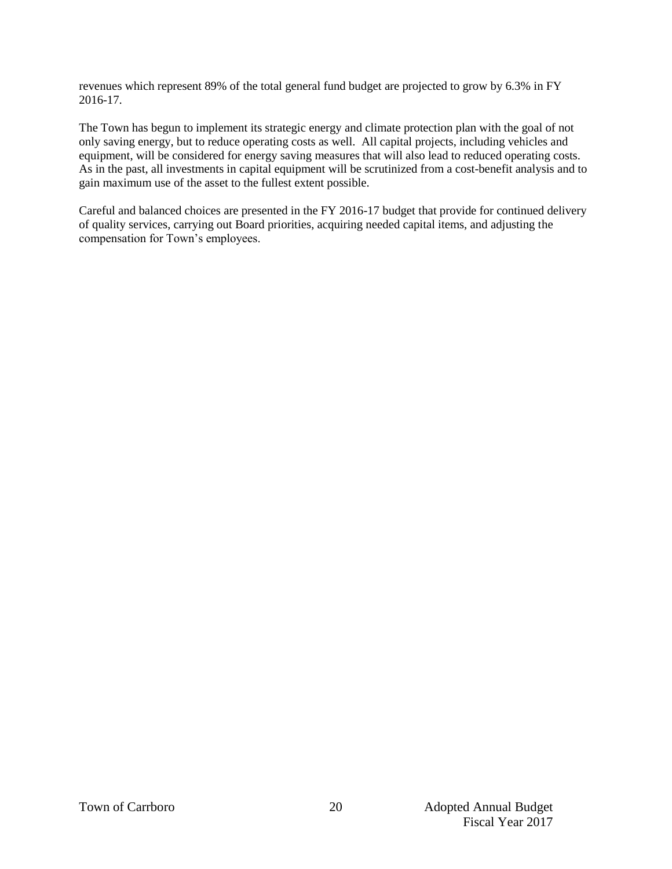revenues which represent 89% of the total general fund budget are projected to grow by 6.3% in FY 2016-17.

The Town has begun to implement its strategic energy and climate protection plan with the goal of not only saving energy, but to reduce operating costs as well. All capital projects, including vehicles and equipment, will be considered for energy saving measures that will also lead to reduced operating costs. As in the past, all investments in capital equipment will be scrutinized from a cost-benefit analysis and to gain maximum use of the asset to the fullest extent possible.

Careful and balanced choices are presented in the FY 2016-17 budget that provide for continued delivery of quality services, carrying out Board priorities, acquiring needed capital items, and adjusting the compensation for Town's employees.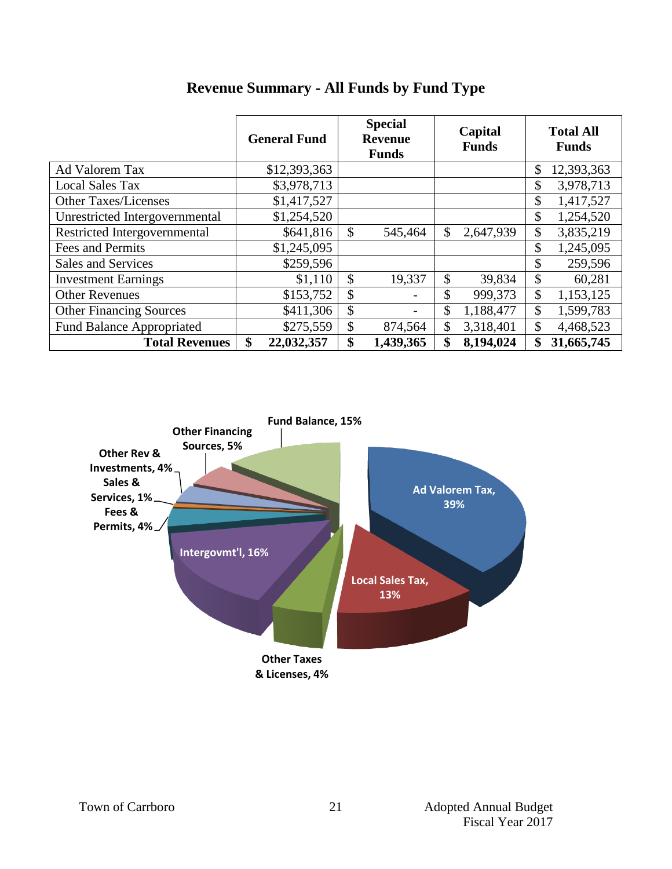|                                  | <b>General Fund</b> | <b>Special</b><br><b>Revenue</b><br><b>Funds</b> | Capital<br><b>Funds</b> | <b>Total All</b><br><b>Funds</b> |
|----------------------------------|---------------------|--------------------------------------------------|-------------------------|----------------------------------|
| Ad Valorem Tax                   | \$12,393,363        |                                                  |                         | \$<br>12,393,363                 |
| <b>Local Sales Tax</b>           | \$3,978,713         |                                                  |                         | 3,978,713<br>\$                  |
| <b>Other Taxes/Licenses</b>      | \$1,417,527         |                                                  |                         | \$<br>1,417,527                  |
| Unrestricted Intergovernmental   | \$1,254,520         |                                                  |                         | \$<br>1,254,520                  |
| Restricted Intergovernmental     | \$641,816           | \$<br>545,464                                    | \$<br>2,647,939         | \$<br>3,835,219                  |
| Fees and Permits                 | \$1,245,095         |                                                  |                         | 1,245,095<br>\$                  |
| Sales and Services               | \$259,596           |                                                  |                         | \$<br>259,596                    |
| <b>Investment Earnings</b>       | \$1,110             | \$<br>19,337                                     | \$<br>39,834            | \$<br>60,281                     |
| <b>Other Revenues</b>            | \$153,752           | \$                                               | \$<br>999,373           | \$<br>1,153,125                  |
| <b>Other Financing Sources</b>   | \$411,306           | \$                                               | \$<br>1,188,477         | $\mathcal{S}$<br>1,599,783       |
| <b>Fund Balance Appropriated</b> | \$275,559           | \$<br>874,564                                    | \$<br>3,318,401         | \$<br>4,468,523                  |
| <b>Total Revenues</b>            | \$<br>22,032,357    | \$<br>1,439,365                                  | 8,194,024<br>\$         | 31,665,745                       |

# **Revenue Summary - All Funds by Fund Type**

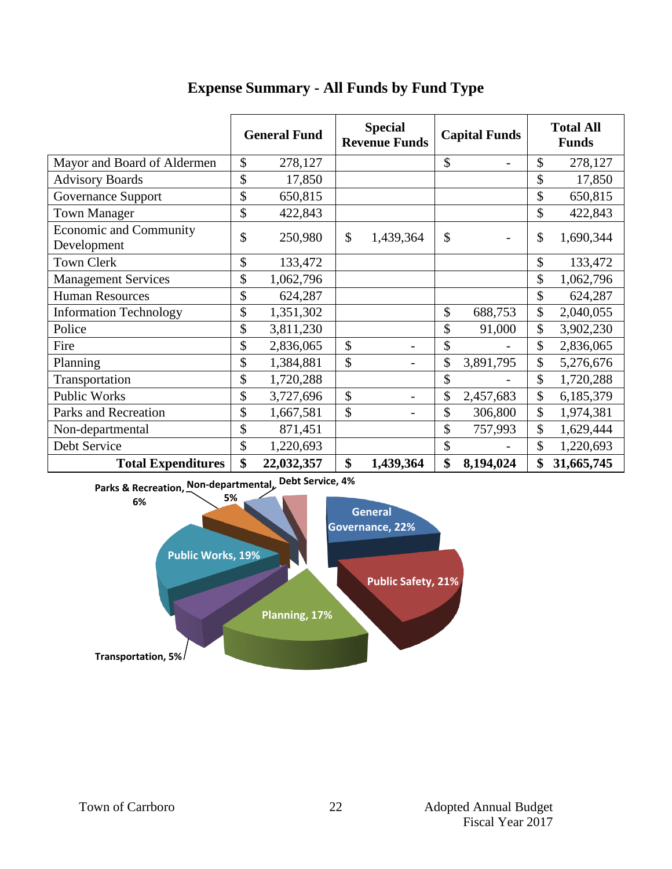|                                              | <b>General Fund</b> |            | <b>Special</b><br><b>Revenue Funds</b> |           | <b>Capital Funds</b> |                 | <b>Total All</b><br><b>Funds</b> |            |
|----------------------------------------------|---------------------|------------|----------------------------------------|-----------|----------------------|-----------------|----------------------------------|------------|
| Mayor and Board of Aldermen                  | \$                  | 278,127    |                                        |           | \$                   |                 | \$                               | 278,127    |
| <b>Advisory Boards</b>                       | \$                  | 17,850     |                                        |           |                      |                 | \$                               | 17,850     |
| Governance Support                           | \$                  | 650,815    |                                        |           |                      |                 | \$                               | 650,815    |
| <b>Town Manager</b>                          | \$                  | 422,843    |                                        |           |                      |                 | \$                               | 422,843    |
| <b>Economic and Community</b><br>Development | \$                  | 250,980    | $\mathbb{S}$                           | 1,439,364 | \$                   | $\qquad \qquad$ | \$                               | 1,690,344  |
| <b>Town Clerk</b>                            | \$                  | 133,472    |                                        |           |                      |                 | \$                               | 133,472    |
| <b>Management Services</b>                   | \$                  | 1,062,796  |                                        |           |                      |                 | \$                               | 1,062,796  |
| <b>Human Resources</b>                       | \$                  | 624,287    |                                        |           |                      |                 | \$                               | 624,287    |
| <b>Information Technology</b>                | \$                  | 1,351,302  |                                        |           | \$                   | 688,753         | \$                               | 2,040,055  |
| Police                                       | \$                  | 3,811,230  |                                        |           | \$                   | 91,000          | \$                               | 3,902,230  |
| Fire                                         | \$                  | 2,836,065  | \$                                     |           | \$                   |                 | \$                               | 2,836,065  |
| Planning                                     | \$                  | 1,384,881  | \$                                     | -         | \$                   | 3,891,795       | \$                               | 5,276,676  |
| Transportation                               | \$                  | 1,720,288  |                                        |           | \$                   |                 | \$                               | 1,720,288  |
| <b>Public Works</b>                          | \$                  | 3,727,696  | \$                                     |           | \$                   | 2,457,683       | \$                               | 6,185,379  |
| Parks and Recreation                         | \$                  | 1,667,581  | \$                                     |           | \$                   | 306,800         | \$                               | 1,974,381  |
| Non-departmental                             | \$                  | 871,451    |                                        |           | \$                   | 757,993         | \$                               | 1,629,444  |
| Debt Service                                 | \$                  | 1,220,693  |                                        |           | \$                   |                 | \$                               | 1,220,693  |
| <b>Total Expenditures</b>                    | \$                  | 22,032,357 | \$                                     | 1,439,364 | \$                   | 8,194,024       | \$                               | 31,665,745 |

# **Expense Summary - All Funds by Fund Type**

**Parks & Recreation, Non-departmental, Debt Service, 4%**

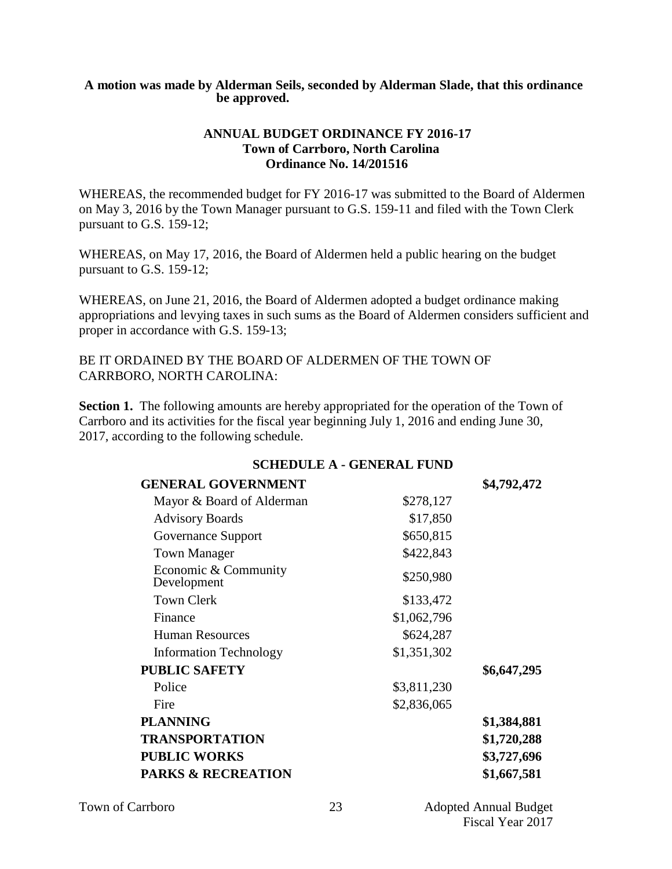#### **A motion was made by Alderman Seils, seconded by Alderman Slade, that this ordinance be approved.**

#### **ANNUAL BUDGET ORDINANCE FY 2016-17 Town of Carrboro, North Carolina Ordinance No. 14/201516**

WHEREAS, the recommended budget for FY 2016-17 was submitted to the Board of Aldermen on May 3, 2016 by the Town Manager pursuant to G.S. 159-11 and filed with the Town Clerk pursuant to G.S. 159-12;

WHEREAS, on May 17, 2016, the Board of Aldermen held a public hearing on the budget pursuant to G.S. 159-12;

WHEREAS, on June 21, 2016, the Board of Aldermen adopted a budget ordinance making appropriations and levying taxes in such sums as the Board of Aldermen considers sufficient and proper in accordance with G.S. 159-13;

BE IT ORDAINED BY THE BOARD OF ALDERMEN OF THE TOWN OF CARRBORO, NORTH CAROLINA:

**Section 1.** The following amounts are hereby appropriated for the operation of the Town of Carrboro and its activities for the fiscal year beginning July 1, 2016 and ending June 30, 2017, according to the following schedule.

| <b>GENERAL GOVERNMENT</b>           |             | \$4,792,472 |
|-------------------------------------|-------------|-------------|
| Mayor & Board of Alderman           | \$278,127   |             |
| <b>Advisory Boards</b>              | \$17,850    |             |
| Governance Support                  | \$650,815   |             |
| <b>Town Manager</b>                 | \$422,843   |             |
| Economic & Community<br>Development | \$250,980   |             |
| <b>Town Clerk</b>                   | \$133,472   |             |
| Finance                             | \$1,062,796 |             |
| <b>Human Resources</b>              | \$624,287   |             |
| <b>Information Technology</b>       | \$1,351,302 |             |
| <b>PUBLIC SAFETY</b>                |             | \$6,647,295 |
| Police                              | \$3,811,230 |             |
| Fire                                | \$2,836,065 |             |
| <b>PLANNING</b>                     |             | \$1,384,881 |
| <b>TRANSPORTATION</b>               |             | \$1,720,288 |
| <b>PUBLIC WORKS</b>                 | \$3,727,696 |             |
| <b>PARKS &amp; RECREATION</b>       |             | \$1,667,581 |

#### **SCHEDULE A - GENERAL FUND**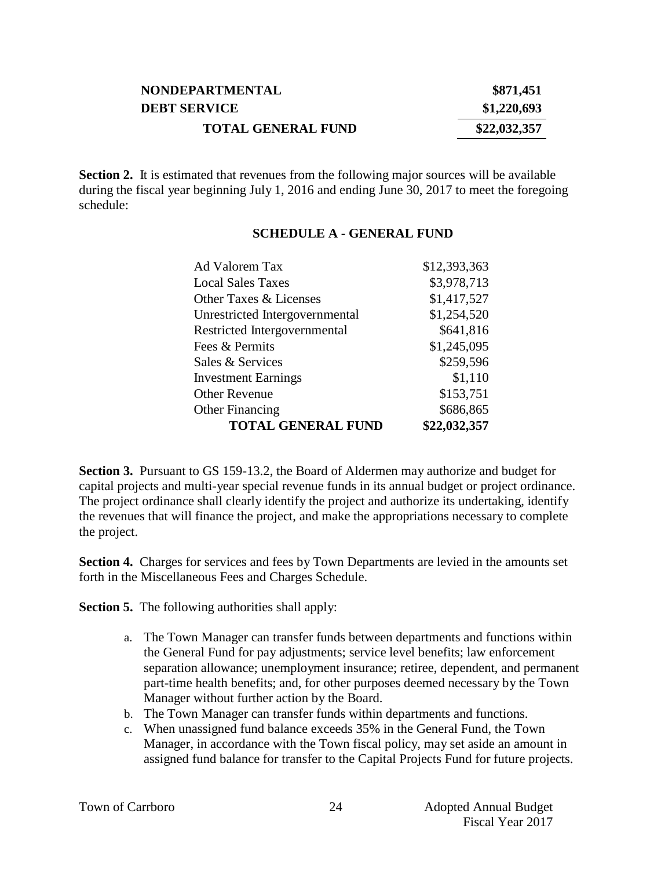| <b>NONDEPARTMENTAL</b>    | \$871,451    |
|---------------------------|--------------|
| <b>DEBT SERVICE</b>       | \$1,220,693  |
| <b>TOTAL GENERAL FUND</b> | \$22,032,357 |

**Section 2.** It is estimated that revenues from the following major sources will be available during the fiscal year beginning July 1, 2016 and ending June 30, 2017 to meet the foregoing schedule:

#### **SCHEDULE A - GENERAL FUND**

| Ad Valorem Tax                 | \$12,393,363 |
|--------------------------------|--------------|
| <b>Local Sales Taxes</b>       | \$3,978,713  |
| Other Taxes & Licenses         | \$1,417,527  |
| Unrestricted Intergovernmental | \$1,254,520  |
| Restricted Intergovernmental   | \$641,816    |
| Fees & Permits                 | \$1,245,095  |
| Sales & Services               | \$259,596    |
| <b>Investment Earnings</b>     | \$1,110      |
| <b>Other Revenue</b>           | \$153,751    |
| <b>Other Financing</b>         | \$686,865    |
| <b>TOTAL GENERAL FUND</b>      | \$22,032,357 |

**Section 3.** Pursuant to GS 159-13.2, the Board of Aldermen may authorize and budget for capital projects and multi-year special revenue funds in its annual budget or project ordinance. The project ordinance shall clearly identify the project and authorize its undertaking, identify the revenues that will finance the project, and make the appropriations necessary to complete the project.

**Section 4.** Charges for services and fees by Town Departments are levied in the amounts set forth in the Miscellaneous Fees and Charges Schedule.

**Section 5.** The following authorities shall apply:

- a. The Town Manager can transfer funds between departments and functions within the General Fund for pay adjustments; service level benefits; law enforcement separation allowance; unemployment insurance; retiree, dependent, and permanent part-time health benefits; and, for other purposes deemed necessary by the Town Manager without further action by the Board.
- b. The Town Manager can transfer funds within departments and functions.
- c. When unassigned fund balance exceeds 35% in the General Fund, the Town Manager, in accordance with the Town fiscal policy, may set aside an amount in assigned fund balance for transfer to the Capital Projects Fund for future projects.